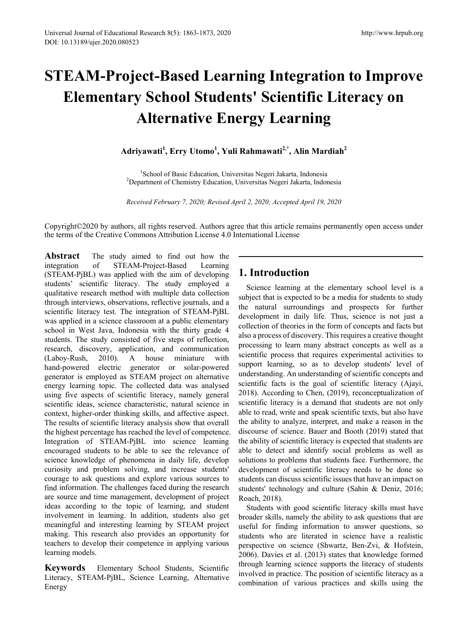# **STEAM-Project-Based Learning Integration to Improve Elementary School Students' Scientific Literacy on Alternative Energy Learning**

**Adriyawati<sup>1</sup> , Erry Utomo<sup>1</sup> , Yuli Rahmawati2,\*, Alin Mardiah<sup>2</sup>**

<sup>1</sup>School of Basic Education, Universitas Negeri Jakarta, Indonesia<br><sup>2</sup>Department of Chemistry Education, Universitas Negeri Jakarta, Indon <sup>2</sup>Department of Chemistry Education, Universitas Negeri Jakarta, Indonesia

*Received February 7, 2020; Revised April 2, 2020; Accepted April 19, 2020*

Copyright©2020 by authors, all rights reserved. Authors agree that this article remains permanently open access under the terms of the Creative Commons Attribution License 4.0 International License

**Abstract** The study aimed to find out how the integration of STEAM-Project-Based Learning (STEAM-PjBL) was applied with the aim of developing students' scientific literacy. The study employed a qualitative research method with multiple data collection through interviews, observations, reflective journals, and a scientific literacy test. The integration of STEAM-PjBL was applied in a science classroom at a public elementary school in West Java, Indonesia with the thirty grade 4 students. The study consisted of five steps of reflection, research, discovery, application, and communication (Laboy-Rush, 2010). A house miniature with hand-powered electric generator or solar-powered generator is employed as STEAM project on alternative energy learning topic. The collected data was analysed using five aspects of scientific literacy, namely general scientific ideas, science characteristic, natural science in context, higher-order thinking skills, and affective aspect. The results of scientific literacy analysis show that overall the highest percentage has reached the level of competence. Integration of STEAM-PjBL into science learning encouraged students to be able to see the relevance of science knowledge of phenomena in daily life, develop curiosity and problem solving, and increase students' courage to ask questions and explore various sources to find information. The challenges faced during the research are source and time management, development of project ideas according to the topic of learning, and student involvement in learning. In addition, students also get meaningful and interesting learning by STEAM project making. This research also provides an opportunity for teachers to develop their competence in applying various learning models.

**Keywords** Elementary School Students, Scientific Literacy, STEAM-PjBL, Science Learning, Alternative Energy

# **1. Introduction**

Science learning at the elementary school level is a subject that is expected to be a media for students to study the natural surroundings and prospects for further development in daily life. Thus, science is not just a collection of theories in the form of concepts and facts but also a process of discovery. This requires a creative thought processing to learn many abstract concepts as well as a scientific process that requires experimental activities to support learning, so as to develop students' level of understanding. An understanding of scientific concepts and scientific facts is the goal of scientific literacy (Ajayi, 2018). According to Chen, (2019), reconceptualization of scientific literacy is a demand that students are not only able to read, write and speak scientific texts, but also have the ability to analyze, interpret, and make a reason in the discourse of science. Bauer and Booth (2019) stated that the ability of scientific literacy is expected that students are able to detect and identify social problems as well as solutions to problems that students face. Furthermore, the development of scientific literacy needs to be done so students can discuss scientific issues that have an impact on students' technology and culture (Sahin & Deniz, 2016; Roach, 2018).

Students with good scientific literacy skills must have broader skills, namely the ability to ask questions that are useful for finding information to answer questions, so students who are literated in science have a realistic perspective on science (Shwartz, Ben-Zvi, & Hofstein, 2006). Davies et al. (2013) states that knowledge formed through learning science supports the literacy of students involved in practice. The position of scientific literacy as a combination of various practices and skills using the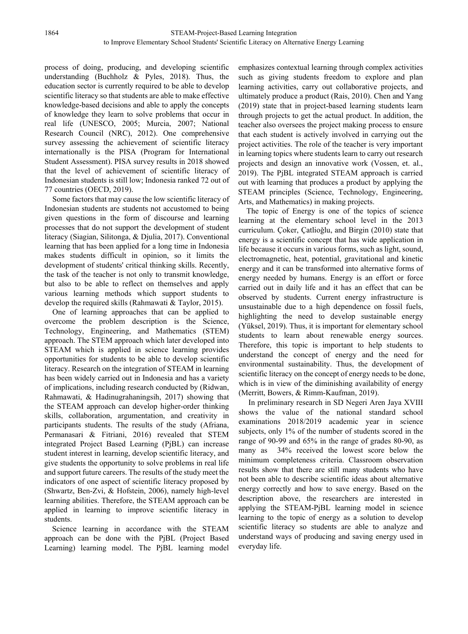process of doing, producing, and developing scientific understanding (Buchholz & Pyles, 2018). Thus, the education sector is currently required to be able to develop scientific literacy so that students are able to make effective knowledge-based decisions and able to apply the concepts of knowledge they learn to solve problems that occur in real life (UNESCO, 2005; Murcia, 2007; National Research Council (NRC), 2012). One comprehensive survey assessing the achievement of scientific literacy internationally is the PISA (Program for International Student Assessment). PISA survey results in 2018 showed that the level of achievement of scientific literacy of Indonesian students is still low; Indonesia ranked 72 out of 77 countries (OECD, 2019).

Some factors that may cause the low scientific literacy of Indonesian students are students not accustomed to being given questions in the form of discourse and learning processes that do not support the development of student literacy (Siagian, Silitonga, & Djulia, 2017). Conventional learning that has been applied for a long time in Indonesia makes students difficult in opinion, so it limits the development of students' critical thinking skills. Recently, the task of the teacher is not only to transmit knowledge, but also to be able to reflect on themselves and apply various learning methods which support students to develop the required skills (Rahmawati & Taylor, 2015).

One of learning approaches that can be applied to overcome the problem description is the Science, Technology, Engineering, and Mathematics (STEM) approach. The STEM approach which later developed into STEAM which is applied in science learning provides opportunities for students to be able to develop scientific literacy. Research on the integration of STEAM in learning has been widely carried out in Indonesia and has a variety of implications, including research conducted by (Ridwan, Rahmawati, & Hadinugrahaningsih, 2017) showing that the STEAM approach can develop higher-order thinking skills, collaboration, argumentation, and creativity in participants students. The results of the study (Afriana, Permanasari & Fitriani, 2016) revealed that STEM integrated Project Based Learning (PjBL) can increase student interest in learning, develop scientific literacy, and give students the opportunity to solve problems in real life and support future careers. The results of the study meet the indicators of one aspect of scientific literacy proposed by (Shwartz, Ben-Zvi, & Hofstein, 2006), namely high-level learning abilities. Therefore, the STEAM approach can be applied in learning to improve scientific literacy in students.

Science learning in accordance with the STEAM approach can be done with the PjBL (Project Based Learning) learning model. The PjBL learning model emphasizes contextual learning through complex activities such as giving students freedom to explore and plan learning activities, carry out collaborative projects, and ultimately produce a product (Rais, 2010). Chen and Yang (2019) state that in project-based learning students learn through projects to get the actual product. In addition, the teacher also oversees the project making process to ensure that each student is actively involved in carrying out the project activities. The role of the teacher is very important in learning topics where students learn to carry out research projects and design an innovative work (Vossen, et. al., 2019). The PjBL integrated STEAM approach is carried out with learning that produces a product by applying the STEAM principles (Science, Technology, Engineering, Arts, and Mathematics) in making projects.

The topic of Energy is one of the topics of science learning at the elementary school level in the 2013 curriculum. Çoker, Çatlioǧlu, and Birgin (2010) state that energy is a scientific concept that has wide application in life because it occurs in various forms, such as light, sound, electromagnetic, heat, potential, gravitational and kinetic energy and it can be transformed into alternative forms of energy needed by humans. Energy is an effort or force carried out in daily life and it has an effect that can be observed by students. Current energy infrastructure is unsustainable due to a high dependence on fossil fuels, highlighting the need to develop sustainable energy (Yüksel, 2019). Thus, it is important for elementary school students to learn about renewable energy sources. Therefore, this topic is important to help students to understand the concept of energy and the need for environmental sustainability. Thus, the development of scientific literacy on the concept of energy needs to be done, which is in view of the diminishing availability of energy (Merritt, Bowers, & Rimm-Kaufman, 2019).

In preliminary research in SD Negeri Aren Jaya XVIII shows the value of the national standard school examinations 2018/2019 academic year in science subjects, only 1% of the number of students scored in the range of 90-99 and 65% in the range of grades 80-90, as many as 34% received the lowest score below the minimum completeness criteria. Classroom observation results show that there are still many students who have not been able to describe scientific ideas about alternative energy correctly and how to save energy. Based on the description above, the researchers are interested in applying the STEAM-PjBL learning model in science learning to the topic of energy as a solution to develop scientific literacy so students are able to analyze and understand ways of producing and saving energy used in everyday life.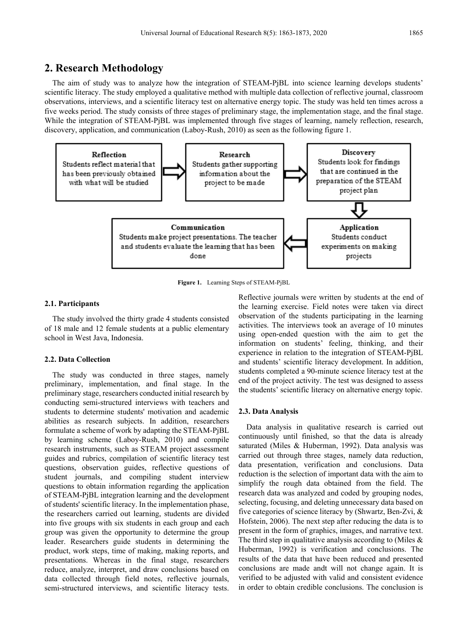# **2. Research Methodology**

The aim of study was to analyze how the integration of STEAM-PjBL into science learning develops students' scientific literacy. The study employed a qualitative method with multiple data collection of reflective journal, classroom observations, interviews, and a scientific literacy test on alternative energy topic. The study was held ten times across a five weeks period. The study consists of three stages of preliminary stage, the implementation stage, and the final stage. While the integration of STEAM-PjBL was implemented through five stages of learning, namely reflection, research, discovery, application, and communication (Laboy-Rush, 2010) as seen as the following figure 1.



**Figure 1.** Learning Steps of STEAM-PjBL

#### **2.1. Participants**

The study involved the thirty grade 4 students consisted of 18 male and 12 female students at a public elementary school in West Java, Indonesia.

#### **2.2. Data Collection**

The study was conducted in three stages, namely preliminary, implementation, and final stage. In the preliminary stage, researchers conducted initial research by conducting semi-structured interviews with teachers and students to determine students' motivation and academic abilities as research subjects. In addition, researchers formulate a scheme of work by adapting the STEAM-PjBL by learning scheme (Laboy-Rush, 2010) and compile research instruments, such as STEAM project assessment guides and rubrics, compilation of scientific literacy test questions, observation guides, reflective questions of student journals, and compiling student interview questions to obtain information regarding the application of STEAM-PjBL integration learning and the development of students' scientific literacy. In the implementation phase, the researchers carried out learning, students are divided into five groups with six students in each group and each group was given the opportunity to determine the group leader. Researchers guide students in determining the product, work steps, time of making, making reports, and presentations. Whereas in the final stage, researchers reduce, analyze, interpret, and draw conclusions based on data collected through field notes, reflective journals, semi-structured interviews, and scientific literacy tests.

Reflective journals were written by students at the end of the learning exercise. Field notes were taken via direct observation of the students participating in the learning activities. The interviews took an average of 10 minutes using open-ended question with the aim to get the information on students' feeling, thinking, and their experience in relation to the integration of STEAM-PjBL and students' scientific literacy development. In addition, students completed a 90-minute science literacy test at the end of the project activity. The test was designed to assess the students' scientific literacy on alternative energy topic.

#### **2.3. Data Analysis**

Data analysis in qualitative research is carried out continuously until finished, so that the data is already saturated (Miles & Huberman, 1992). Data analysis was carried out through three stages, namely data reduction, data presentation, verification and conclusions. Data reduction is the selection of important data with the aim to simplify the rough data obtained from the field. The research data was analyzed and coded by grouping nodes, selecting, focusing, and deleting unnecessary data based on five categories of science literacy by (Shwartz, Ben-Zvi, & Hofstein, 2006). The next step after reducing the data is to present in the form of graphics, images, and narrative text. The third step in qualitative analysis according to (Miles  $\&$ Huberman, 1992) is verification and conclusions. The results of the data that have been reduced and presented conclusions are made andt will not change again. It is verified to be adjusted with valid and consistent evidence in order to obtain credible conclusions. The conclusion is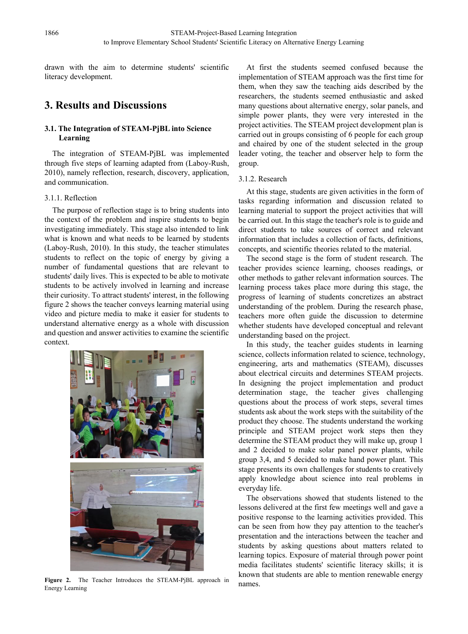drawn with the aim to determine students' scientific literacy development.

# **3. Results and Discussions**

# **3.1. The Integration of STEAM-PjBL into Science Learning**

The integration of STEAM-PjBL was implemented through five steps of learning adapted from (Laboy-Rush, 2010), namely reflection, research, discovery, application, and communication.

## 3.1.1. Reflection

The purpose of reflection stage is to bring students into the context of the problem and inspire students to begin investigating immediately. This stage also intended to link what is known and what needs to be learned by students (Laboy-Rush, 2010). In this study, the teacher stimulates students to reflect on the topic of energy by giving a number of fundamental questions that are relevant to students' daily lives. This is expected to be able to motivate students to be actively involved in learning and increase their curiosity. To attract students' interest, in the following figure 2 shows the teacher conveys learning material using video and picture media to make it easier for students to understand alternative energy as a whole with discussion and question and answer activities to examine the scientific context.



**Figure 2.** The Teacher Introduces the STEAM-PjBL approach in Energy Learning

At first the students seemed confused because the implementation of STEAM approach was the first time for them, when they saw the teaching aids described by the researchers, the students seemed enthusiastic and asked many questions about alternative energy, solar panels, and simple power plants, they were very interested in the project activities. The STEAM project development plan is carried out in groups consisting of 6 people for each group and chaired by one of the student selected in the group leader voting, the teacher and observer help to form the group.

# 3.1.2. Research

At this stage, students are given activities in the form of tasks regarding information and discussion related to learning material to support the project activities that will be carried out. In this stage the teacher's role is to guide and direct students to take sources of correct and relevant information that includes a collection of facts, definitions. concepts, and scientific theories related to the material.

The second stage is the form of student research. The teacher provides science learning, chooses readings, or other methods to gather relevant information sources. The learning process takes place more during this stage, the progress of learning of students concretizes an abstract understanding of the problem. During the research phase, teachers more often guide the discussion to determine whether students have developed conceptual and relevant understanding based on the project.

In this study, the teacher guides students in learning science, collects information related to science, technology, engineering, arts and mathematics (STEAM), discusses about electrical circuits and determines STEAM projects. In designing the project implementation and product determination stage, the teacher gives challenging questions about the process of work steps, several times students ask about the work steps with the suitability of the product they choose. The students understand the working principle and STEAM project work steps then they determine the STEAM product they will make up, group 1 and 2 decided to make solar panel power plants, while group 3,4, and 5 decided to make hand power plant. This stage presents its own challenges for students to creatively apply knowledge about science into real problems in everyday life.

The observations showed that students listened to the lessons delivered at the first few meetings well and gave a positive response to the learning activities provided. This can be seen from how they pay attention to the teacher's presentation and the interactions between the teacher and students by asking questions about matters related to learning topics. Exposure of material through power point media facilitates students' scientific literacy skills; it is known that students are able to mention renewable energy names.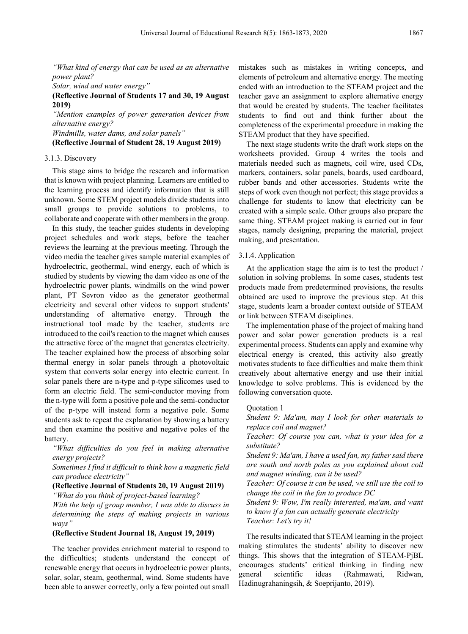*"What kind of energy that can be used as an alternative power plant?*

*Solar, wind and water energy"*

## **(Reflective Journal of Students 17 and 30, 19 August 2019)**

*"Mention examples of power generation devices from alternative energy?*

*Windmills, water dams, and solar panels"*

**(Reflective Journal of Student 28, 19 August 2019)**

### 3.1.3. Discovery

This stage aims to bridge the research and information that is known with project planning. Learners are entitled to the learning process and identify information that is still unknown. Some STEM project models divide students into small groups to provide solutions to problems, to collaborate and cooperate with other members in the group.

In this study, the teacher guides students in developing project schedules and work steps, before the teacher reviews the learning at the previous meeting. Through the video media the teacher gives sample material examples of hydroelectric, geothermal, wind energy, each of which is studied by students by viewing the dam video as one of the hydroelectric power plants, windmills on the wind power plant, PT Sevron video as the generator geothermal electricity and several other videos to support students' understanding of alternative energy. Through the instructional tool made by the teacher, students are introduced to the coil's reaction to the magnet which causes the attractive force of the magnet that generates electricity. The teacher explained how the process of absorbing solar thermal energy in solar panels through a photovoltaic system that converts solar energy into electric current. In solar panels there are n-type and p-type silicomes used to form an electric field. The semi-conductor moving from the n-type will form a positive pole and the semi-conductor of the p-type will instead form a negative pole. Some students ask to repeat the explanation by showing a battery and then examine the positive and negative poles of the battery.

*"What difficulties do you feel in making alternative energy projects?*

*Sometimes I find it difficult to think how a magnetic field can produce electricity"*

### **(Reflective Journal of Students 20, 19 August 2019)**

*"What do you think of project-based learning?*

*With the help of group member, I was able to discuss in determining the steps of making projects in various ways"*

### **(Reflective Student Journal 18, August 19, 2019)**

The teacher provides enrichment material to respond to the difficulties; students understand the concept of renewable energy that occurs in hydroelectric power plants, solar, solar, steam, geothermal, wind. Some students have been able to answer correctly, only a few pointed out small

mistakes such as mistakes in writing concepts, and elements of petroleum and alternative energy. The meeting ended with an introduction to the STEAM project and the teacher gave an assignment to explore alternative energy that would be created by students. The teacher facilitates students to find out and think further about the completeness of the experimental procedure in making the STEAM product that they have specified.

The next stage students write the draft work steps on the worksheets provided. Group 4 writes the tools and materials needed such as magnets, coil wire, used CDs, markers, containers, solar panels, boards, used cardboard, rubber bands and other accessories. Students write the steps of work even though not perfect; this stage provides a challenge for students to know that electricity can be created with a simple scale. Other groups also prepare the same thing. STEAM project making is carried out in four stages, namely designing, preparing the material, project making, and presentation.

# 3.1.4. Application

At the application stage the aim is to test the product / solution in solving problems. In some cases, students test products made from predetermined provisions, the results obtained are used to improve the previous step. At this stage, students learn a broader context outside of STEAM or link between STEAM disciplines.

The implementation phase of the project of making hand power and solar power generation products is a real experimental process. Students can apply and examine why electrical energy is created, this activity also greatly motivates students to face difficulties and make them think creatively about alternative energy and use their initial knowledge to solve problems. This is evidenced by the following conversation quote.

#### Quotation 1

*Student 9: Ma'am, may I look for other materials to replace coil and magnet?*

*Teacher: Of course you can, what is your idea for a substitute?*

*Student 9: Ma'am, I have a used fan, my father said there are south and north poles as you explained about coil and magnet winding, can it be used?*

*Teacher: Of course it can be used, we still use the coil to change the coil in the fan to produce DC*

*Student 9: Wow, I'm really interested, ma'am, and want to know if a fan can actually generate electricity Teacher: Let's try it!*

The results indicated that STEAM learning in the project making stimulates the students' ability to discover new things. This shows that the integration of STEAM-PjBL encourages students' critical thinking in finding new general scientific ideas (Rahmawati, Ridwan, Hadinugrahaningsih, & Soeprijanto, 2019).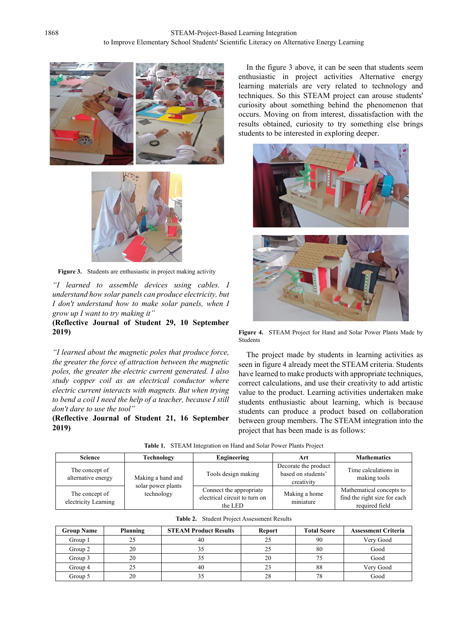



**Figure 3.** Students are enthusiastic in project making activity

*"I learned to assemble devices using cables. I understand how solar panels can produce electricity, but I don't understand how to make solar panels, when I grow up I want to try making it"*

# **(Reflective Journal of Student 29, 10 September 2019)**

*"I learned about the magnetic poles that produce force, the greater the force of attraction between the magnetic poles, the greater the electric current generated. I also study copper coil as an electrical conductor where electric current interacts with magnets. But when trying to bend a coil I need the help of a teacher, because I still don't dare to use the tool"*

**(Reflective Journal of Student 21, 16 September 2019)**

In the figure 3 above, it can be seen that students seem enthusiastic in project activities Alternative energy learning materials are very related to technology and techniques. So this STEAM project can arouse students' curiosity about something behind the phenomenon that occurs. Moving on from interest, dissatisfaction with the results obtained, curiosity to try something else brings students to be interested in exploring deeper.



**Figure 4.** STEAM Project for Hand and Solar Power Plants Made by Students

The project made by students in learning activities as seen in figure 4 already meet the STEAM criteria. Students have learned to make products with appropriate techniques, correct calculations, and use their creativity to add artistic value to the product. Learning activities undertaken make students enthusiastic about learning, which is because students can produce a product based on collaboration between group members. The STEAM integration into the project that has been made is as follows:

|  | Table 1. STEAM Integration on Hand and Solar Power Plants Project |  |  |
|--|-------------------------------------------------------------------|--|--|
|--|-------------------------------------------------------------------|--|--|

| <b>Science</b>                         | Technology                                            | Engineering                                                         | Art                                                      | <b>Mathematics</b>                                                         |
|----------------------------------------|-------------------------------------------------------|---------------------------------------------------------------------|----------------------------------------------------------|----------------------------------------------------------------------------|
| The concept of<br>alternative energy   | Making a hand and<br>solar power plants<br>technology | Tools design making                                                 | Decorate the product<br>based on students'<br>creativity | Time calculations in<br>making tools                                       |
| The concept of<br>electricity Learning |                                                       | Connect the appropriate<br>electrical circuit to turn on<br>the LED | Making a home<br>miniature                               | Mathematical concepts to<br>find the right size for each<br>required field |

|  | <b>Table 2.</b> Student Project Assessment Results |  |
|--|----------------------------------------------------|--|
|--|----------------------------------------------------|--|

| <b>Group Name</b> | Planning | <b>STEAM Product Results</b> | Report | <b>Total Score</b> | <b>Assessment Criteria</b> |
|-------------------|----------|------------------------------|--------|--------------------|----------------------------|
| Group 1           | 25       | 40                           | 25     | 90                 | Very Good                  |
| Group 2           | 20       | 35                           | 25     | 80                 | Good                       |
| Group 3           | 20       | 35                           | 20     | 75                 | Good                       |
| Group 4           | 25       | 40                           | 23     | 88                 | Very Good                  |
| Group 5           | 20       | 35                           | 28     | 78                 | Good                       |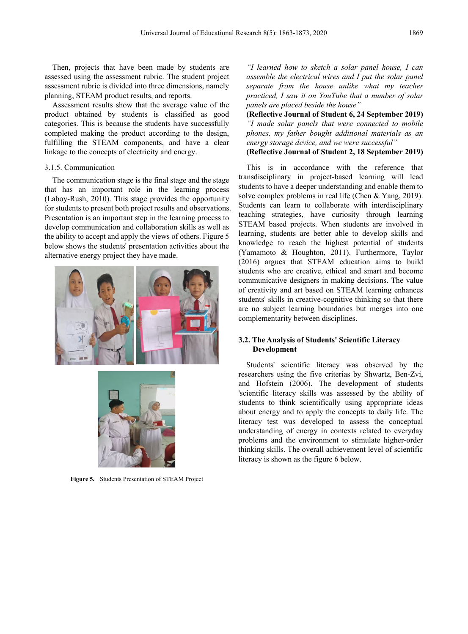Then, projects that have been made by students are assessed using the assessment rubric. The student project assessment rubric is divided into three dimensions, namely planning, STEAM product results, and reports.

Assessment results show that the average value of the product obtained by students is classified as good categories. This is because the students have successfully completed making the product according to the design, fulfilling the STEAM components, and have a clear linkage to the concepts of electricity and energy.

### 3.1.5. Communication

The communication stage is the final stage and the stage that has an important role in the learning process (Laboy-Rush, 2010). This stage provides the opportunity for students to present both project results and observations. Presentation is an important step in the learning process to develop communication and collaboration skills as well as the ability to accept and apply the views of others. Figure 5 below shows the students' presentation activities about the alternative energy project they have made.





**Figure 5.** Students Presentation of STEAM Project

*"I learned how to sketch a solar panel house, I can assemble the electrical wires and I put the solar panel separate from the house unlike what my teacher practiced, I saw it on YouTube that a number of solar panels are placed beside the house"*

**(Reflective Journal of Student 6, 24 September 2019)** *"I made solar panels that were connected to mobile phones, my father bought additional materials as an energy storage device, and we were successful"*

**(Reflective Journal of Student 2, 18 September 2019)**

This is in accordance with the reference that transdisciplinary in project-based learning will lead students to have a deeper understanding and enable them to solve complex problems in real life (Chen & Yang, 2019). Students can learn to collaborate with interdisciplinary teaching strategies, have curiosity through learning STEAM based projects. When students are involved in learning, students are better able to develop skills and knowledge to reach the highest potential of students (Yamamoto & Houghton, 2011). Furthermore, Taylor (2016) argues that STEAM education aims to build students who are creative, ethical and smart and become communicative designers in making decisions. The value of creativity and art based on STEAM learning enhances students' skills in creative-cognitive thinking so that there are no subject learning boundaries but merges into one complementarity between disciplines.

## **3.2. The Analysis of Students' Scientific Literacy Development**

Students' scientific literacy was observed by the researchers using the five criterias by Shwartz, Ben-Zvi, and Hofstein (2006). The development of students 'scientific literacy skills was assessed by the ability of students to think scientifically using appropriate ideas about energy and to apply the concepts to daily life. The literacy test was developed to assess the conceptual understanding of energy in contexts related to everyday problems and the environment to stimulate higher-order thinking skills. The overall achievement level of scientific literacy is shown as the figure 6 below.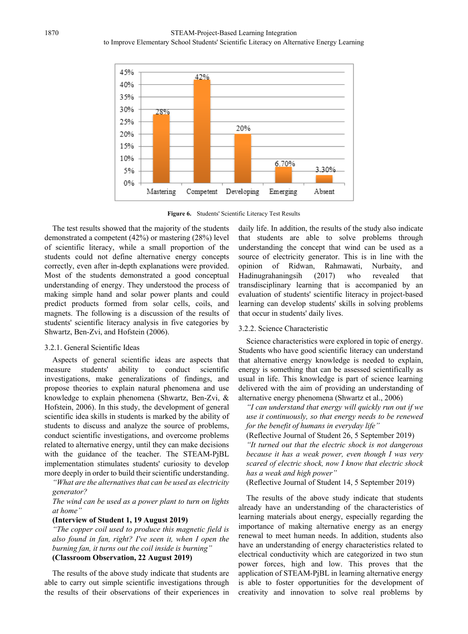

**Figure 6.** Students' Scientific Literacy Test Results

The test results showed that the majority of the students demonstrated a competent (42%) or mastering (28%) level of scientific literacy, while a small proportion of the students could not define alternative energy concepts correctly, even after in-depth explanations were provided. Most of the students demonstrated a good conceptual understanding of energy. They understood the process of making simple hand and solar power plants and could predict products formed from solar cells, coils, and magnets. The following is a discussion of the results of students' scientific literacy analysis in five categories by Shwartz, Ben-Zvi, and Hofstein (2006).

## 3.2.1. General Scientific Ideas

Aspects of general scientific ideas are aspects that measure students' ability to conduct scientific investigations, make generalizations of findings, and propose theories to explain natural phenomena and use knowledge to explain phenomena (Shwartz, Ben-Zvi, & Hofstein, 2006). In this study, the development of general scientific idea skills in students is marked by the ability of students to discuss and analyze the source of problems, conduct scientific investigations, and overcome problems related to alternative energy, until they can make decisions with the guidance of the teacher. The STEAM-PjBL implementation stimulates students' curiosity to develop more deeply in order to build their scientific understanding.

*"What are the alternatives that can be used as electricity generator?*

*The wind can be used as a power plant to turn on lights at home"*

#### **(Interview of Student 1, 19 August 2019)**

*"The copper coil used to produce this magnetic field is also found in fan, right? I've seen it, when I open the burning fan, it turns out the coil inside is burning"* **(Classroom Observation, 22 August 2019)**

The results of the above study indicate that students are able to carry out simple scientific investigations through the results of their observations of their experiences in daily life. In addition, the results of the study also indicate that students are able to solve problems through understanding the concept that wind can be used as a source of electricity generator. This is in line with the opinion of Ridwan, Rahmawati, Nurbaity, and Hadinugrahaningsih (2017) who revealed that transdisciplinary learning that is accompanied by an evaluation of students' scientific literacy in project-based learning can develop students' skills in solving problems that occur in students' daily lives.

# 3.2.2. Science Characteristic

Science characteristics were explored in topic of energy. Students who have good scientific literacy can understand that alternative energy knowledge is needed to explain, energy is something that can be assessed scientifically as usual in life. This knowledge is part of science learning delivered with the aim of providing an understanding of alternative energy phenomena (Shwartz et al., 2006)

*"I can understand that energy will quickly run out if we use it continuously, so that energy needs to be renewed for the benefit of humans in everyday life"*

(Reflective Journal of Student 26, 5 September 2019)

*"It turned out that the electric shock is not dangerous because it has a weak power, even though I was very scared of electric shock, now I know that electric shock has a weak and high power"*

(Reflective Journal of Student 14, 5 September 2019)

The results of the above study indicate that students already have an understanding of the characteristics of learning materials about energy, especially regarding the importance of making alternative energy as an energy renewal to meet human needs. In addition, students also have an understanding of energy characteristics related to electrical conductivity which are categorized in two stun power forces, high and low. This proves that the application of STEAM-PjBL in learning alternative energy is able to foster opportunities for the development of creativity and innovation to solve real problems by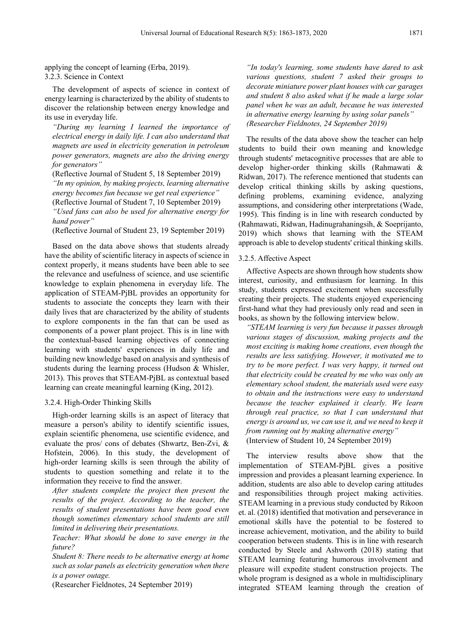applying the concept of learning (Erba, 2019). 3.2.3. Science in Context

The development of aspects of science in context of energy learning is characterized by the ability of students to discover the relationship between energy knowledge and its use in everyday life.

*"During my learning I learned the importance of electrical energy in daily life. I can also understand that magnets are used in electricity generation in petroleum power generators, magnets are also the driving energy for generators"*

(Reflective Journal of Student 5, 18 September 2019) *"In my opinion, by making projects, learning alternative energy becomes fun because we get real experience"* (Reflective Journal of Student 7, 10 September 2019)

*"Used fans can also be used for alternative energy for hand power"*

(Reflective Journal of Student 23, 19 September 2019)

Based on the data above shows that students already have the ability of scientific literacy in aspects of science in context properly, it means students have been able to see the relevance and usefulness of science, and use scientific knowledge to explain phenomena in everyday life. The application of STEAM-PjBL provides an opportunity for students to associate the concepts they learn with their daily lives that are characterized by the ability of students to explore components in the fan that can be used as components of a power plant project. This is in line with the contextual-based learning objectives of connecting learning with students' experiences in daily life and building new knowledge based on analysis and synthesis of students during the learning process (Hudson & Whisler, 2013). This proves that STEAM-PjBL as contextual based learning can create meaningful learning (King, 2012).

#### 3.2.4. High-Order Thinking Skills

High-order learning skills is an aspect of literacy that measure a person's ability to identify scientific issues, explain scientific phenomena, use scientific evidence, and evaluate the pros/ cons of debates (Shwartz, Ben-Zvi, & Hofstein, 2006). In this study, the development of high-order learning skills is seen through the ability of students to question something and relate it to the information they receive to find the answer.

*After students complete the project then present the results of the project. According to the teacher, the results of student presentations have been good even though sometimes elementary school students are still limited in delivering their presentations.*

*Teacher: What should be done to save energy in the future?*

*Student 8: There needs to be alternative energy at home such as solar panels as electricity generation when there is a power outage.*

(Researcher Fieldnotes, 24 September 2019)

*"In today's learning, some students have dared to ask various questions, student 7 asked their groups to decorate miniature power plant houses with car garages and student 8 also asked what if he made a large solar panel when he was an adult, because he was interested in alternative energy learning by using solar panels" (Researcher Fieldnotes, 24 September 2019)*

The results of the data above show the teacher can help students to build their own meaning and knowledge through students' metacognitive processes that are able to develop higher-order thinking skills (Rahmawati & Ridwan, 2017). The reference mentioned that students can develop critical thinking skills by asking questions, defining problems, examining evidence, analyzing assumptions, and considering other interpretations (Wade, 1995). This finding is in line with research conducted by (Rahmawati, Ridwan, Hadinugrahaningsih, & Soeprijanto, 2019) which shows that learning with the STEAM approach is able to develop students' critical thinking skills.

#### 3.2.5. Affective Aspect

Affective Aspects are shown through how students show interest, curiosity, and enthusiasm for learning. In this study, students expressed excitement when successfully creating their projects. The students enjoyed experiencing first-hand what they had previously only read and seen in books, as shown by the following interview below.

*"STEAM learning is very fun because it passes through various stages of discussion, making projects and the most exciting is making home creations, even though the results are less satisfying. However, it motivated me to try to be more perfect. I was very happy, it turned out that electricity could be created by me who was only an elementary school student, the materials used were easy to obtain and the instructions were easy to understand because the teacher explained it clearly. We learn through real practice, so that I can understand that energy is around us, we can use it, and we need to keep it from running out by making alternative energy"* (Interview of Student 10, 24 September 2019)

The interview results above show that the implementation of STEAM-PjBL gives a positive impression and provides a pleasant learning experience. In addition, students are also able to develop caring attitudes and responsibilities through project making activities. STEAM learning in a previous study conducted by Rikoon et. al. (2018) identified that motivation and perseverance in emotional skills have the potential to be fostered to increase achievement, motivation, and the ability to build cooperation between students. This is in line with research conducted by Steele and Ashworth (2018) stating that STEAM learning featuring humorous involvement and pleasure will expedite student construction projects. The whole program is designed as a whole in multidisciplinary integrated STEAM learning through the creation of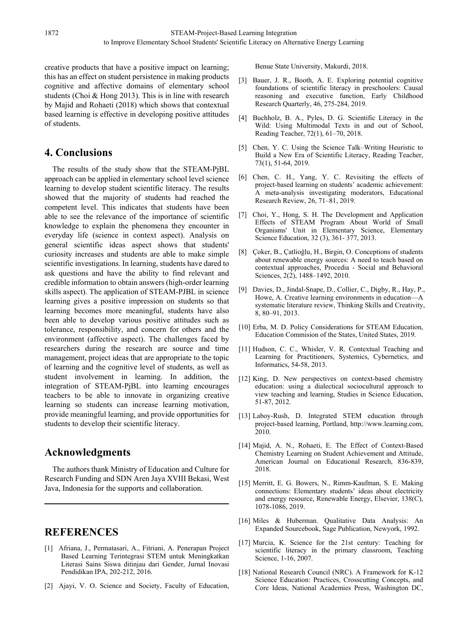creative products that have a positive impact on learning; this has an effect on student persistence in making products cognitive and affective domains of elementary school students (Choi & Hong 2013). This is in line with research by Majid and Rohaeti (2018) which shows that contextual based learning is effective in developing positive attitudes of students.

# **4. Conclusions**

The results of the study show that the STEAM-PjBL approach can be applied in elementary school level science learning to develop student scientific literacy. The results showed that the majority of students had reached the competent level. This indicates that students have been able to see the relevance of the importance of scientific knowledge to explain the phenomena they encounter in everyday life (science in context aspect). Analysis on general scientific ideas aspect shows that students' curiosity increases and students are able to make simple scientific investigations. In learning, students have dared to ask questions and have the ability to find relevant and credible information to obtain answers (high-order learning skills aspect). The application of STEAM-PJBL in science learning gives a positive impression on students so that learning becomes more meaningful, students have also been able to develop various positive attitudes such as tolerance, responsibility, and concern for others and the environment (affective aspect). The challenges faced by researchers during the research are source and time management, project ideas that are appropriate to the topic of learning and the cognitive level of students, as well as student involvement in learning. In addition, the integration of STEAM-PjBL into learning encourages teachers to be able to innovate in organizing creative learning so students can increase learning motivation, provide meaningful learning, and provide opportunities for students to develop their scientific literacy.

# **Acknowledgments**

The authors thank Ministry of Education and Culture for Research Funding and SDN Aren Jaya XVIII Bekasi, West Java, Indonesia for the supports and collaboration.

# **REFERENCES**

- [1] Afriana, J., Permatasari, A., Fitriani, A. Penerapan Project Based Learning Terintegrasi STEM untuk Meningkatkan Literasi Sains Siswa ditinjau dari Gender, Jurnal Inovasi Pendidikan IPA, 202-212, 2016.
- [2] Ajayi, V. O. Science and Society, Faculty of Education,

Benue State University, Makurdi, 2018.

- [3] Bauer, J. R., Booth, A. E. Exploring potential cognitive foundations of scientific literacy in preschoolers: Causal reasoning and executive function, Early Childhood Research Quarterly, 46, 275-284, 2019.
- [4] Buchholz, B. A., Pyles, D. G. Scientific Literacy in the Wild: Using Multimodal Texts in and out of School, Reading Teacher, 72(1), 61–70, 2018.
- [5] Chen, Y. C. Using the Science Talk–Writing Heuristic to Build a New Era of Scientific Literacy, Reading Teacher, 73(1), 51-64, 2019.
- [6] Chen, C. H., Yang, Y. C. Revisiting the effects of project-based learning on students' academic achievement: A meta-analysis investigating moderators, Educational Research Review, 26, 71–81, 2019.
- [7] Choi, Y., Hong, S. H. The Development and Application Effects of STEAM Program About World of Small Organisms' Unit in Elementary Science, Elementary Science Education, 32 (3), 361- 377, 2013.
- [8] Çoker, B., Çatlioğlu, H., Birgin, O. Conceptions of students about renewable energy sources: A need to teach based on contextual approaches, Procedia - Social and Behavioral Sciences, 2(2), 1488–1492, 2010.
- [9] Davies, D., Jindal-Snape, D., Collier, C., Digby, R., Hay, P., Howe, A. Creative learning environments in education—A systematic literature review, Thinking Skills and Creativity, 8, 80–91, 2013.
- [10] Erba, M. D. Policy Considerations for STEAM Education, Education Commision of the States, United States, 2019.
- [11] Hudson, C. C., Whisler, V. R. Contextual Teaching and Learning for Practitioners, Systemics, Cybernetics, and Informatics, 54-58, 2013.
- [12] King, D. New perspectives on context-based chemistry education: using a dialectical sociocultural approach to view teaching and learning, Studies in Science Education, 51-87, 2012.
- [13] Laboy-Rush, D. Integrated STEM education through project-based learning, Portland, http://www.learning.com, 2010.
- [14] Majid, A. N., Rohaeti, E. The Effect of Context-Based Chemistry Learning on Student Achievement and Attitude, American Journal on Educational Research, 836-839, 2018.
- [15] Merritt, E. G. Bowers, N., Rimm-Kaufman, S. E. Making connections: Elementary students' ideas about electricity and energy resource, Renewable Energy, Elsevier, 138(C), 1078-1086, 2019.
- [16] Miles & Huberman. Qualitative Data Analysis: An Expanded Sourcebook, Sage Publication, Newyork, 1992.
- [17] Murcia, K. Science for the 21st century: Teaching for scientific literacy in the primary classroom, Teaching Science, 1-16, 2007.
- [18] National Research Council (NRC). A Framework for K-12 Science Education: Practices, Crosscutting Concepts, and Core Ideas, National Academies Press, Washington DC,